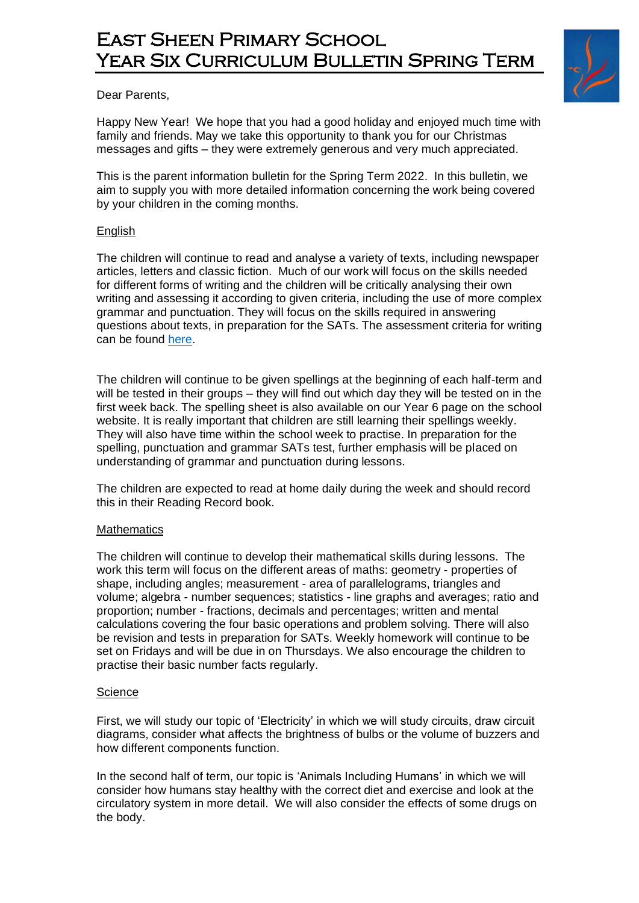# East Sheen Primary School YEAR SIX CURRICULUM BULLETIN SPRING TERM



Dear Parents,

Happy New Year! We hope that you had a good holiday and enjoyed much time with family and friends. May we take this opportunity to thank you for our Christmas messages and gifts – they were extremely generous and very much appreciated.

This is the parent information bulletin for the Spring Term 2022. In this bulletin, we aim to supply you with more detailed information concerning the work being covered by your children in the coming months.

### **English**

The children will continue to read and analyse a variety of texts, including newspaper articles, letters and classic fiction. Much of our work will focus on the skills needed for different forms of writing and the children will be critically analysing their own writing and assessing it according to given criteria, including the use of more complex grammar and punctuation. They will focus on the skills required in answering questions about texts, in preparation for the SATs. The assessment criteria for writing can be found [here.](https://assets.publishing.service.gov.uk/government/uploads/system/uploads/attachment_data/file/740345/2018-19_teacher_assessment_frameworks_at_the_end_of_key_stage_2_WEBHO.pdf)

The children will continue to be given spellings at the beginning of each half-term and will be tested in their groups – they will find out which day they will be tested on in the first week back. The spelling sheet is also available on our Year 6 page on the school website. It is really important that children are still learning their spellings weekly. They will also have time within the school week to practise. In preparation for the spelling, punctuation and grammar SATs test, further emphasis will be placed on understanding of grammar and punctuation during lessons.

The children are expected to read at home daily during the week and should record this in their Reading Record book.

#### **Mathematics**

The children will continue to develop their mathematical skills during lessons. The work this term will focus on the different areas of maths: geometry - properties of shape, including angles; measurement - area of parallelograms, triangles and volume; algebra - number sequences; statistics - line graphs and averages; ratio and proportion; number - fractions, decimals and percentages; written and mental calculations covering the four basic operations and problem solving. There will also be revision and tests in preparation for SATs. Weekly homework will continue to be set on Fridays and will be due in on Thursdays. We also encourage the children to practise their basic number facts regularly.

#### **Science**

First, we will study our topic of 'Electricity' in which we will study circuits, draw circuit diagrams, consider what affects the brightness of bulbs or the volume of buzzers and how different components function.

In the second half of term, our topic is 'Animals Including Humans' in which we will consider how humans stay healthy with the correct diet and exercise and look at the circulatory system in more detail. We will also consider the effects of some drugs on the body.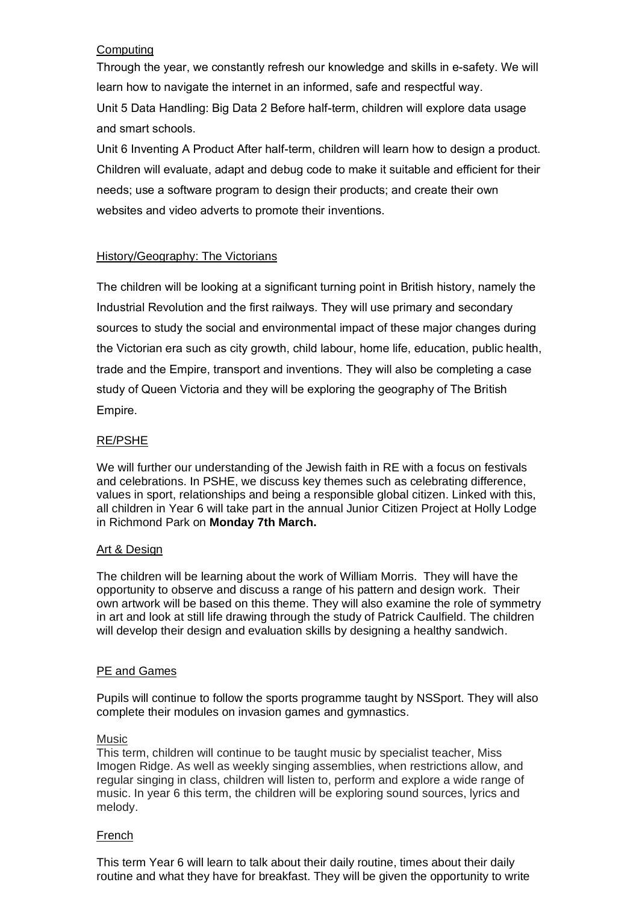# **Computing**

Through the year, we constantly refresh our knowledge and skills in e-safety. We will learn how to navigate the internet in an informed, safe and respectful way. Unit 5 Data Handling: Big Data 2 Before half-term, children will explore data usage and smart schools.

Unit 6 Inventing A Product After half-term, children will learn how to design a product. Children will evaluate, adapt and debug code to make it suitable and efficient for their needs; use a software program to design their products; and create their own websites and video adverts to promote their inventions.

# History/Geography: The Victorians

The children will be looking at a significant turning point in British history, namely the Industrial Revolution and the first railways. They will use primary and secondary sources to study the social and environmental impact of these major changes during the Victorian era such as city growth, child labour, home life, education, public health, trade and the Empire, transport and inventions. They will also be completing a case study of Queen Victoria and they will be exploring the geography of The British Empire.

# RE/PSHE

We will further our understanding of the Jewish faith in RE with a focus on festivals and celebrations. In PSHE, we discuss key themes such as celebrating difference, values in sport, relationships and being a responsible global citizen. Linked with this, all children in Year 6 will take part in the annual Junior Citizen Project at Holly Lodge in Richmond Park on **Monday 7th March.**

### Art & Design

The children will be learning about the work of William Morris. They will have the opportunity to observe and discuss a range of his pattern and design work. Their own artwork will be based on this theme. They will also examine the role of symmetry in art and look at still life drawing through the study of Patrick Caulfield. The children will develop their design and evaluation skills by designing a healthy sandwich.

### PE and Games

Pupils will continue to follow the sports programme taught by NSSport. They will also complete their modules on invasion games and gymnastics.

### Music

This term, children will continue to be taught music by specialist teacher, Miss Imogen Ridge. As well as weekly singing assemblies, when restrictions allow, and regular singing in class, children will listen to, perform and explore a wide range of music. In year 6 this term, the children will be exploring sound sources, lyrics and melody.

### French

This term Year 6 will learn to talk about their daily routine, times about their daily routine and what they have for breakfast. They will be given the opportunity to write